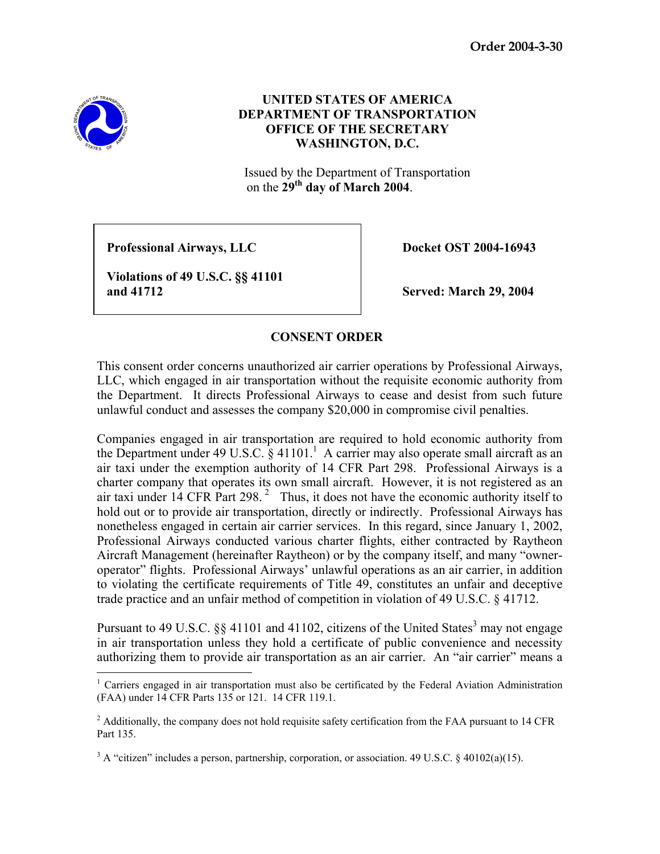**Order 2004-3-30** 



 $\overline{a}$ 

## **UNITED STATES OF AMERICA DEPARTMENT OF TRANSPORTATION OFFICE OF THE SECRETARY WASHINGTON, D.C.**

Issued by the Department of Transportation on the **29th day of March 2004**.

**Professional Airways, LLC** Docket OST 2004-16943

 **Violations of 49 U.S.C. §§ 41101 and 41712 Served: March 29, 2004** 

## **CONSENT ORDER**

This consent order concerns unauthorized air carrier operations by Professional Airways, LLC, which engaged in air transportation without the requisite economic authority from the Department. It directs Professional Airways to cease and desist from such future unlawful conduct and assesses the company \$20,000 in compromise civil penalties.

Companies engaged in air transportation are required to hold economic authority from the Department under 49 U.S.C.  $\S$  41101.<sup>1</sup> A carrier may also operate small aircraft as an air taxi under the exemption authority of 14 CFR Part 298. Professional Airways is a charter company that operates its own small aircraft. However, it is not registered as an air taxi under  $14$  CFR Part 298.<sup>2</sup> Thus, it does not have the economic authority itself to hold out or to provide air transportation, directly or indirectly. Professional Airways has nonetheless engaged in certain air carrier services. In this regard, since January 1, 2002, Professional Airways conducted various charter flights, either contracted by Raytheon Aircraft Management (hereinafter Raytheon) or by the company itself, and many "owneroperator" flights. Professional Airways' unlawful operations as an air carrier, in addition to violating the certificate requirements of Title 49, constitutes an unfair and deceptive trade practice and an unfair method of competition in violation of 49 U.S.C. § 41712.

Pursuant to 49 U.S.C.  $\S$ § 41101 and 41102, citizens of the United States<sup>3</sup> may not engage in air transportation unless they hold a certificate of public convenience and necessity authorizing them to provide air transportation as an air carrier. An "air carrier" means a

<sup>&</sup>lt;sup>1</sup> Carriers engaged in air transportation must also be certificated by the Federal Aviation Administration (FAA) under 14 CFR Parts 135 or 121. 14 CFR 119.1.

 $2$  Additionally, the company does not hold requisite safety certification from the FAA pursuant to 14 CFR Part 135.

<sup>&</sup>lt;sup>3</sup> A "citizen" includes a person, partnership, corporation, or association. 49 U.S.C. § 40102(a)(15).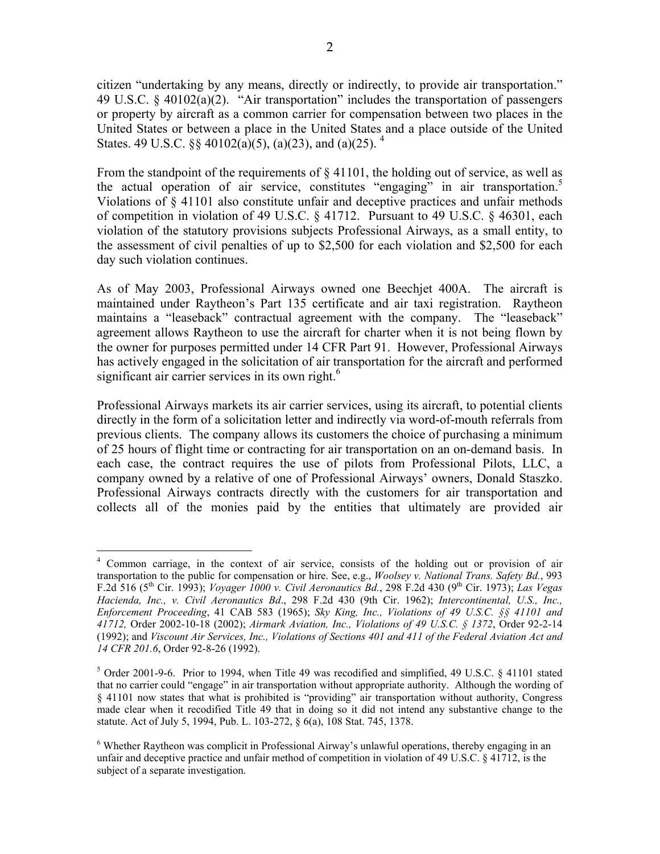citizen "undertaking by any means, directly or indirectly, to provide air transportation." 49 U.S.C. § 40102(a)(2). "Air transportation" includes the transportation of passengers or property by aircraft as a common carrier for compensation between two places in the United States or between a place in the United States and a place outside of the United States. 49 U.S.C.  $\frac{6}{5}$  40102(a)(5), (a)(23), and (a)(25). <sup>4</sup>

From the standpoint of the requirements of  $\S$  41101, the holding out of service, as well as the actual operation of air service, constitutes "engaging" in air transportation.<sup>5</sup> Violations of § 41101 also constitute unfair and deceptive practices and unfair methods of competition in violation of 49 U.S.C. § 41712. Pursuant to 49 U.S.C. § 46301, each violation of the statutory provisions subjects Professional Airways, as a small entity, to the assessment of civil penalties of up to \$2,500 for each violation and \$2,500 for each day such violation continues.

As of May 2003, Professional Airways owned one Beechjet 400A. The aircraft is maintained under Raytheon's Part 135 certificate and air taxi registration. Raytheon maintains a "leaseback" contractual agreement with the company. The "leaseback" agreement allows Raytheon to use the aircraft for charter when it is not being flown by the owner for purposes permitted under 14 CFR Part 91. However, Professional Airways has actively engaged in the solicitation of air transportation for the aircraft and performed significant air carrier services in its own right.<sup>6</sup>

Professional Airways markets its air carrier services, using its aircraft, to potential clients directly in the form of a solicitation letter and indirectly via word-of-mouth referrals from previous clients. The company allows its customers the choice of purchasing a minimum of 25 hours of flight time or contracting for air transportation on an on-demand basis. In each case, the contract requires the use of pilots from Professional Pilots, LLC, a company owned by a relative of one of Professional Airways' owners, Donald Staszko. Professional Airways contracts directly with the customers for air transportation and collects all of the monies paid by the entities that ultimately are provided air

 $\overline{a}$ <sup>4</sup> Common carriage, in the context of air service, consists of the holding out or provision of air transportation to the public for compensation or hire. See, e.g., *Woolsey v. National Trans. Safety Bd.*, 993 F.2d 516 (5th Cir. 1993); *Voyager 1000 v. Civil Aeronautics Bd.*, 298 F.2d 430 (9th Cir. 1973); *Las Vegas Hacienda, Inc., v. Civil Aeronautics Bd*., 298 F.2d 430 (9th Cir. 1962); *Intercontinental, U.S., Inc., Enforcement Proceeding*, 41 CAB 583 (1965); *Sky King, Inc., Violations of 49 U.S.C. §§ 41101 and 41712,* Order 2002-10-18 (2002); *Airmark Aviation, Inc., Violations of 49 U.S.C. § 1372*, Order 92-2-14 (1992); and *Viscount Air Services, Inc., Violations of Sections 401 and 411 of the Federal Aviation Act and 14 CFR 201.6*, Order 92-8-26 (1992).

 $5$  Order 2001-9-6. Prior to 1994, when Title 49 was recodified and simplified, 49 U.S.C. § 41101 stated that no carrier could "engage" in air transportation without appropriate authority. Although the wording of § 41101 now states that what is prohibited is "providing" air transportation without authority, Congress made clear when it recodified Title 49 that in doing so it did not intend any substantive change to the statute. Act of July 5, 1994, Pub. L. 103-272, § 6(a), 108 Stat. 745, 1378.

<sup>&</sup>lt;sup>6</sup> Whether Raytheon was complicit in Professional Airway's unlawful operations, thereby engaging in an unfair and deceptive practice and unfair method of competition in violation of 49 U.S.C. § 41712, is the subject of a separate investigation.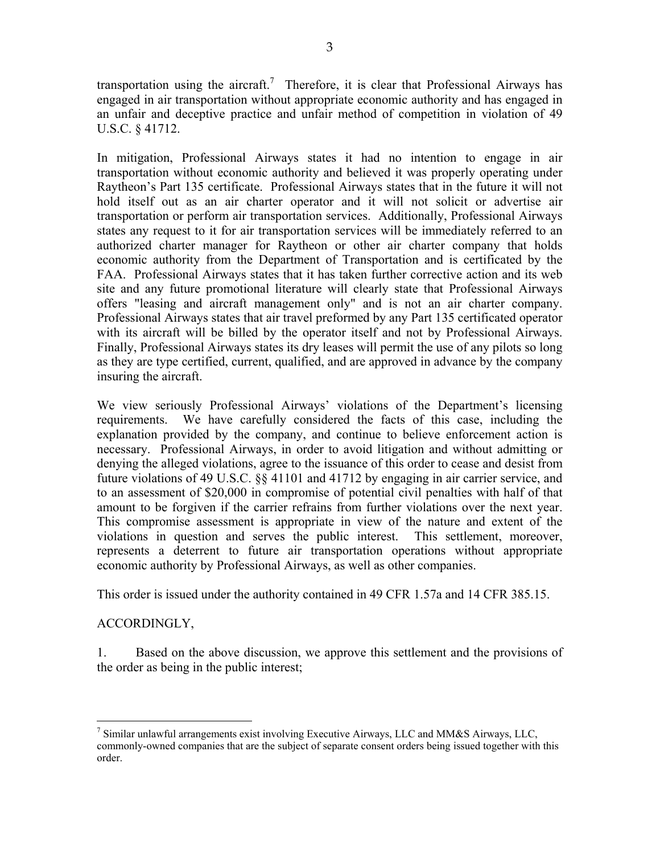transportation using the aircraft.<sup>7</sup> Therefore, it is clear that Professional Airways has engaged in air transportation without appropriate economic authority and has engaged in an unfair and deceptive practice and unfair method of competition in violation of 49 U.S.C. § 41712.

In mitigation, Professional Airways states it had no intention to engage in air transportation without economic authority and believed it was properly operating under Raytheon's Part 135 certificate. Professional Airways states that in the future it will not hold itself out as an air charter operator and it will not solicit or advertise air transportation or perform air transportation services. Additionally, Professional Airways states any request to it for air transportation services will be immediately referred to an authorized charter manager for Raytheon or other air charter company that holds economic authority from the Department of Transportation and is certificated by the FAA. Professional Airways states that it has taken further corrective action and its web site and any future promotional literature will clearly state that Professional Airways offers "leasing and aircraft management only" and is not an air charter company. Professional Airways states that air travel preformed by any Part 135 certificated operator with its aircraft will be billed by the operator itself and not by Professional Airways. Finally, Professional Airways states its dry leases will permit the use of any pilots so long as they are type certified, current, qualified, and are approved in advance by the company insuring the aircraft.

We view seriously Professional Airways' violations of the Department's licensing requirements. We have carefully considered the facts of this case, including the explanation provided by the company, and continue to believe enforcement action is necessary. Professional Airways, in order to avoid litigation and without admitting or denying the alleged violations, agree to the issuance of this order to cease and desist from future violations of 49 U.S.C. §§ 41101 and 41712 by engaging in air carrier service, and to an assessment of \$20,000 in compromise of potential civil penalties with half of that amount to be forgiven if the carrier refrains from further violations over the next year. This compromise assessment is appropriate in view of the nature and extent of the violations in question and serves the public interest. This settlement, moreover, represents a deterrent to future air transportation operations without appropriate economic authority by Professional Airways, as well as other companies.

This order is issued under the authority contained in 49 CFR 1.57a and 14 CFR 385.15.

## ACCORDINGLY,

1. Based on the above discussion, we approve this settlement and the provisions of the order as being in the public interest;

<sup>&</sup>lt;u>.</u>  $^7$  Similar unlawful arrangements exist involving Executive Airways, LLC and MM&S Airways, LLC, commonly-owned companies that are the subject of separate consent orders being issued together with this order.